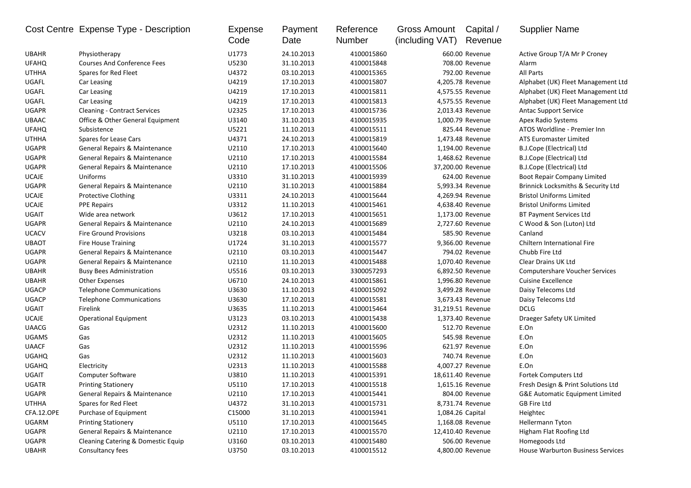|              | Cost Centre Expense Type - Description | Expense<br>Code | Payment<br>Date | Reference<br>Number | Gross Amount<br>(including VAT) | Capital /<br>Revenue | <b>Supplier Name</b>                          |
|--------------|----------------------------------------|-----------------|-----------------|---------------------|---------------------------------|----------------------|-----------------------------------------------|
| <b>UBAHR</b> | Physiotherapy                          | U1773           | 24.10.2013      | 4100015860          |                                 | 660.00 Revenue       | Active Group T/A Mr P Croney                  |
| <b>UFAHQ</b> | <b>Courses And Conference Fees</b>     | U5230           | 31.10.2013      | 4100015848          |                                 | 708.00 Revenue       | Alarm                                         |
| <b>UTHHA</b> | Spares for Red Fleet                   | U4372           | 03.10.2013      | 4100015365          |                                 | 792.00 Revenue       | All Parts                                     |
| UGAFL        | Car Leasing                            | U4219           | 17.10.2013      | 4100015807          |                                 | 4,205.78 Revenue     | Alphabet (UK) Fleet Management Ltd            |
| UGAFL        | Car Leasing                            | U4219           | 17.10.2013      | 4100015811          |                                 | 4,575.55 Revenue     | Alphabet (UK) Fleet Management Ltd            |
| UGAFL        | Car Leasing                            | U4219           | 17.10.2013      | 4100015813          |                                 | 4,575.55 Revenue     | Alphabet (UK) Fleet Management Ltd            |
| <b>UGAPR</b> | <b>Cleaning - Contract Services</b>    | U2325           | 17.10.2013      | 4100015736          |                                 | 2,013.43 Revenue     | <b>Antac Support Service</b>                  |
| UBAAC        | Office & Other General Equipment       | U3140           | 31.10.2013      | 4100015935          |                                 | 1,000.79 Revenue     | Apex Radio Systems                            |
| <b>UFAHQ</b> | Subsistence                            | U5221           | 11.10.2013      | 4100015511          |                                 | 825.44 Revenue       | ATOS Worldline - Premier Inn                  |
| <b>UTHHA</b> | Spares for Lease Cars                  | U4371           | 24.10.2013      | 4100015819          |                                 | 1,473.48 Revenue     | ATS Euromaster Limited                        |
| <b>UGAPR</b> | General Repairs & Maintenance          | U2110           | 17.10.2013      | 4100015640          |                                 | 1,194.00 Revenue     | B.J.Cope (Electrical) Ltd                     |
| <b>UGAPR</b> | General Repairs & Maintenance          | U2110           | 17.10.2013      | 4100015584          |                                 | 1,468.62 Revenue     | B.J.Cope (Electrical) Ltd                     |
| <b>UGAPR</b> | General Repairs & Maintenance          | U2110           | 17.10.2013      | 4100015506          |                                 | 37,200.00 Revenue    | B.J.Cope (Electrical) Ltd                     |
| <b>UCAJE</b> | Uniforms                               | U3310           | 31.10.2013      | 4100015939          |                                 | 624.00 Revenue       | Boot Repair Company Limited                   |
| <b>UGAPR</b> | General Repairs & Maintenance          | U2110           | 31.10.2013      | 4100015884          |                                 | 5,993.34 Revenue     | <b>Brinnick Locksmiths &amp; Security Ltd</b> |
| <b>UCAJE</b> | <b>Protective Clothing</b>             | U3311           | 24.10.2013      | 4100015644          |                                 | 4,269.94 Revenue     | <b>Bristol Uniforms Limited</b>               |
| <b>UCAJE</b> | <b>PPE Repairs</b>                     | U3312           | 11.10.2013      | 4100015461          |                                 | 4,638.40 Revenue     | <b>Bristol Uniforms Limited</b>               |
| <b>UGAIT</b> | Wide area network                      | U3612           | 17.10.2013      | 4100015651          |                                 | 1,173.00 Revenue     | BT Payment Services Ltd                       |
| <b>UGAPR</b> | General Repairs & Maintenance          | U2110           | 24.10.2013      | 4100015689          |                                 | 2,727.60 Revenue     | C Wood & Son (Luton) Ltd                      |
| <b>UCACV</b> | <b>Fire Ground Provisions</b>          | U3218           | 03.10.2013      | 4100015484          |                                 | 585.90 Revenue       | Canland                                       |
| <b>UBAOT</b> | <b>Fire House Training</b>             | U1724           | 31.10.2013      | 4100015577          |                                 | 9,366.00 Revenue     | Chiltern International Fire                   |
| <b>UGAPR</b> | General Repairs & Maintenance          | U2110           | 03.10.2013      | 4100015447          |                                 | 794.02 Revenue       | Chubb Fire Ltd                                |
| <b>UGAPR</b> | General Repairs & Maintenance          | U2110           | 11.10.2013      | 4100015488          |                                 | 1,070.40 Revenue     | Clear Drains UK Ltd                           |
| <b>UBAHR</b> | <b>Busy Bees Administration</b>        | U5516           | 03.10.2013      | 3300057293          |                                 | 6,892.50 Revenue     | <b>Computershare Voucher Services</b>         |
| <b>UBAHR</b> | Other Expenses                         | U6710           | 24.10.2013      | 4100015861          |                                 | 1,996.80 Revenue     | <b>Cuisine Excellence</b>                     |
| <b>UGACP</b> | <b>Telephone Communications</b>        | U3630           | 11.10.2013      | 4100015092          |                                 | 3,499.28 Revenue     | Daisy Telecoms Ltd                            |
| <b>UGACP</b> | <b>Telephone Communications</b>        | U3630           | 17.10.2013      | 4100015581          |                                 | 3,673.43 Revenue     | Daisy Telecoms Ltd                            |
| <b>UGAIT</b> | Firelink                               | U3635           | 11.10.2013      | 4100015464          |                                 | 31,219.51 Revenue    | <b>DCLG</b>                                   |
| <b>UCAJE</b> | Operational Equipment                  | U3123           | 03.10.2013      | 4100015438          |                                 | 1,373.40 Revenue     | Draeger Safety UK Limited                     |
| <b>UAACG</b> | Gas                                    | U2312           | 11.10.2013      | 4100015600          |                                 | 512.70 Revenue       | E.On                                          |
| <b>UGAMS</b> | Gas                                    | U2312           | 11.10.2013      | 4100015605          |                                 | 545.98 Revenue       | E.On                                          |
| <b>UAACF</b> | Gas                                    | U2312           | 11.10.2013      | 4100015596          |                                 | 621.97 Revenue       | E.On                                          |
| <b>UGAHQ</b> | Gas                                    | U2312           | 11.10.2013      | 4100015603          |                                 | 740.74 Revenue       | E.On                                          |
| <b>UGAHQ</b> | Electricity                            | U2313           | 11.10.2013      | 4100015588          |                                 | 4,007.27 Revenue     | E.On                                          |
| <b>UGAIT</b> | Computer Software                      | U3810           | 11.10.2013      | 4100015391          |                                 | 18,611.40 Revenue    | Fortek Computers Ltd                          |
| <b>UGATR</b> | <b>Printing Stationery</b>             | U5110           | 17.10.2013      | 4100015518          |                                 | 1,615.16 Revenue     | Fresh Design & Print Solutions Ltd            |
| <b>UGAPR</b> | General Repairs & Maintenance          | U2110           | 17.10.2013      | 4100015441          |                                 | 804.00 Revenue       | <b>G&amp;E Automatic Equipment Limited</b>    |
| <b>UTHHA</b> | Spares for Red Fleet                   | U4372           | 31.10.2013      | 4100015731          |                                 | 8,731.74 Revenue     | GB Fire Ltd                                   |
| CFA.12.OPE   | Purchase of Equipment                  | C15000          | 31.10.2013      | 4100015941          |                                 | 1,084.26 Capital     | Heightec                                      |
| <b>UGARM</b> | <b>Printing Stationery</b>             | U5110           | 17.10.2013      | 4100015645          |                                 | 1,168.08 Revenue     | Hellermann Tyton                              |
| <b>UGAPR</b> | General Repairs & Maintenance          | U2110           | 17.10.2013      | 4100015570          |                                 | 12,410.40 Revenue    | Higham Flat Roofing Ltd                       |
| <b>UGAPR</b> | Cleaning Catering & Domestic Equip     | U3160           | 03.10.2013      | 4100015480          |                                 | 506.00 Revenue       | Homegoods Ltd                                 |
| <b>UBAHR</b> | Consultancy fees                       | U3750           | 03.10.2013      | 4100015512          |                                 | 4,800.00 Revenue     | <b>House Warburton Business Services</b>      |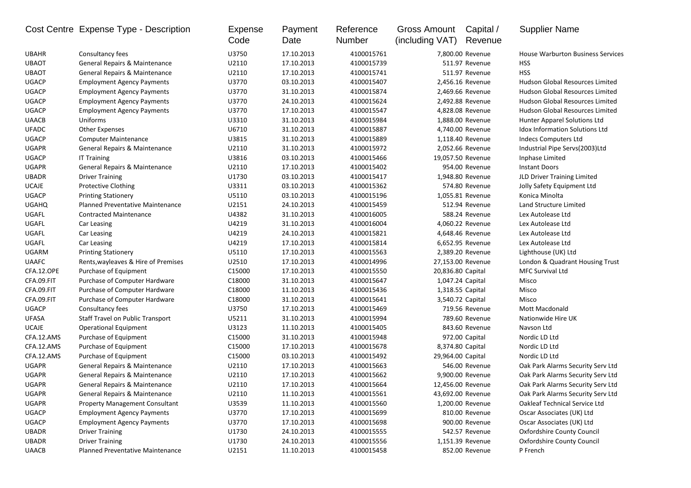| Consultancy fees<br>U3750<br>17.10.2013<br>4100015761<br>7,800.00 Revenue<br><b>House Warburton Business Services</b><br><b>UBAHR</b><br><b>UBAOT</b><br>General Repairs & Maintenance<br>U2110<br>17.10.2013<br>4100015739<br>511.97 Revenue<br><b>HSS</b><br><b>HSS</b><br><b>UBAOT</b><br>General Repairs & Maintenance<br>U2110<br>17.10.2013<br>4100015741<br>511.97 Revenue<br><b>UGACP</b><br>U3770<br>03.10.2013<br><b>Employment Agency Payments</b><br>4100015407<br>2,456.16 Revenue<br>Hudson Global Resources Limited<br><b>UGACP</b><br>U3770<br>31.10.2013<br>4100015874<br><b>Hudson Global Resources Limited</b><br><b>Employment Agency Payments</b><br>2,469.66 Revenue<br><b>UGACP</b><br>U3770<br>24.10.2013<br>2,492.88 Revenue<br>Hudson Global Resources Limited<br><b>Employment Agency Payments</b><br>4100015624<br><b>UGACP</b><br>U3770<br>Hudson Global Resources Limited<br><b>Employment Agency Payments</b><br>17.10.2013<br>4100015547<br>4,828.08 Revenue<br>U3310<br><b>UAACB</b><br>Uniforms<br>31.10.2013<br>4100015984<br>1,888.00 Revenue<br>Hunter Apparel Solutions Ltd<br><b>UFADC</b><br>U6710<br>4,740.00 Revenue<br><b>Idox Information Solutions Ltd</b><br><b>Other Expenses</b><br>31.10.2013<br>4100015887<br><b>UGACP</b><br>U3815<br>Indecs Computers Ltd<br><b>Computer Maintenance</b><br>31.10.2013<br>4100015889<br>1,118.40 Revenue<br>2,052.66 Revenue<br>Industrial Pipe Servs(2003)Ltd<br><b>UGAPR</b><br><b>General Repairs &amp; Maintenance</b><br>U2110<br>31.10.2013<br>4100015972<br>UGACP<br>U3816<br>19,057.50 Revenue<br><b>IT Training</b><br>03.10.2013<br>4100015466<br>Inphase Limited<br>General Repairs & Maintenance<br>U2110<br><b>Instant Doors</b><br><b>UGAPR</b><br>17.10.2013<br>4100015402<br>954.00 Revenue<br><b>UBADR</b><br>JLD Driver Training Limited<br><b>Driver Training</b><br>U1730<br>03.10.2013<br>4100015417<br>1,948.80 Revenue<br><b>UCAJE</b><br><b>Protective Clothing</b><br>U3311<br>03.10.2013<br>4100015362<br>574.80 Revenue<br>Jolly Safety Equipment Ltd<br><b>UGACP</b><br>U5110<br>03.10.2013<br>4100015196<br>1,055.81 Revenue<br>Konica Minolta<br><b>Printing Stationery</b><br><b>UGAHQ</b><br><b>Planned Preventative Maintenance</b><br>U2151<br>24.10.2013<br>512.94 Revenue<br>Land Structure Limited<br>4100015459<br>UGAFL<br>U4382<br>31.10.2013<br>4100016005<br>588.24 Revenue<br><b>Contracted Maintenance</b><br>Lex Autolease Ltd<br>UGAFL<br>U4219<br>31.10.2013<br>4100016004<br>4,060.22 Revenue<br>Car Leasing<br>Lex Autolease Ltd<br>UGAFL<br>Car Leasing<br>U4219<br>24.10.2013<br>4100015821<br>4,648.46 Revenue<br>Lex Autolease Ltd<br>UGAFL<br>U4219<br>Lex Autolease Ltd<br>Car Leasing<br>17.10.2013<br>4100015814<br>6,652.95 Revenue<br>UGARM<br>U5110<br>17.10.2013<br>2,389.20 Revenue<br>Lighthouse (UK) Ltd<br><b>Printing Stationery</b><br>4100015563<br><b>UAAFC</b><br>U2510<br>Rents, wayleaves & Hire of Premises<br>17.10.2013<br>4100014996<br>27,153.00 Revenue<br>London & Quadrant Housing Trust<br>CFA.12.OPE<br>C15000<br>MFC Survival Ltd<br>Purchase of Equipment<br>17.10.2013<br>4100015550<br>20,836.80 Capital<br>CFA.09.FIT<br>Purchase of Computer Hardware<br>C18000<br>31.10.2013<br>4100015647<br>1,047.24 Capital<br>Misco<br>CFA.09.FIT<br>Purchase of Computer Hardware<br>C18000<br>11.10.2013<br>4100015436<br>1,318.55 Capital<br>Misco<br>CFA.09.FIT<br>C18000<br>31.10.2013<br>3,540.72 Capital<br>Misco<br>Purchase of Computer Hardware<br>4100015641<br><b>UGACP</b><br>Consultancy fees<br>U3750<br>17.10.2013<br>4100015469<br>719.56 Revenue<br><b>Mott Macdonald</b><br><b>UFASA</b><br><b>Staff Travel on Public Transport</b><br>U5211<br>31.10.2013<br>4100015994<br>789.60 Revenue<br>Nationwide Hire UK<br><b>UCAJE</b><br>U3123<br>11.10.2013<br>4100015405<br>843.60 Revenue<br>Navson Ltd<br><b>Operational Equipment</b><br>CFA.12.AMS<br>C15000<br>Purchase of Equipment<br>31.10.2013<br>4100015948<br>972.00 Capital<br>Nordic LD Ltd<br>CFA.12.AMS<br>Purchase of Equipment<br>C15000<br>17.10.2013<br>4100015678<br>8,374.80 Capital<br>Nordic LD Ltd<br>CFA.12.AMS<br>Purchase of Equipment<br>C <sub>15000</sub><br>03.10.2013<br>4100015492<br>29,964.00 Capital<br>Nordic LD Ltd<br><b>UGAPR</b><br>General Repairs & Maintenance<br>U2110<br>17.10.2013<br>4100015663<br>546.00 Revenue<br>Oak Park Alarms Security Serv Ltd<br><b>UGAPR</b><br>General Repairs & Maintenance<br>U2110<br>17.10.2013<br>9,900.00 Revenue<br>Oak Park Alarms Security Serv Ltd<br>4100015662<br>U2110<br>4100015664<br>12,456.00 Revenue<br>Oak Park Alarms Security Serv Ltd<br><b>UGAPR</b><br><b>General Repairs &amp; Maintenance</b><br>17.10.2013<br><b>UGAPR</b><br>General Repairs & Maintenance<br>U2110<br>11.10.2013<br>4100015561<br>43,692.00 Revenue<br>Oak Park Alarms Security Serv Ltd<br><b>UGAPR</b><br><b>Property Management Consultant</b><br>U3539<br>11.10.2013<br>4100015560<br>1,200.00 Revenue<br>Oakleaf Technical Service Ltd<br><b>UGACP</b><br><b>Employment Agency Payments</b><br>U3770<br>4100015699<br>Oscar Associates (UK) Ltd<br>17.10.2013<br>810.00 Revenue<br><b>UGACP</b><br><b>Employment Agency Payments</b><br>U3770<br>17.10.2013<br>4100015698<br>900.00 Revenue<br>Oscar Associates (UK) Ltd<br>Oxfordshire County Council<br><b>UBADR</b><br><b>Driver Training</b><br>U1730<br>24.10.2013<br>4100015555<br>542.57 Revenue<br>U1730<br>Oxfordshire County Council<br><b>UBADR</b><br><b>Driver Training</b><br>24.10.2013<br>4100015556<br>1,151.39 Revenue<br>852.00 Revenue |              | Cost Centre Expense Type - Description | Expense<br>Code | Payment<br>Date | Reference<br>Number | Gross Amount<br>(including VAT) | Capital /<br>Revenue | <b>Supplier Name</b> |
|--------------------------------------------------------------------------------------------------------------------------------------------------------------------------------------------------------------------------------------------------------------------------------------------------------------------------------------------------------------------------------------------------------------------------------------------------------------------------------------------------------------------------------------------------------------------------------------------------------------------------------------------------------------------------------------------------------------------------------------------------------------------------------------------------------------------------------------------------------------------------------------------------------------------------------------------------------------------------------------------------------------------------------------------------------------------------------------------------------------------------------------------------------------------------------------------------------------------------------------------------------------------------------------------------------------------------------------------------------------------------------------------------------------------------------------------------------------------------------------------------------------------------------------------------------------------------------------------------------------------------------------------------------------------------------------------------------------------------------------------------------------------------------------------------------------------------------------------------------------------------------------------------------------------------------------------------------------------------------------------------------------------------------------------------------------------------------------------------------------------------------------------------------------------------------------------------------------------------------------------------------------------------------------------------------------------------------------------------------------------------------------------------------------------------------------------------------------------------------------------------------------------------------------------------------------------------------------------------------------------------------------------------------------------------------------------------------------------------------------------------------------------------------------------------------------------------------------------------------------------------------------------------------------------------------------------------------------------------------------------------------------------------------------------------------------------------------------------------------------------------------------------------------------------------------------------------------------------------------------------------------------------------------------------------------------------------------------------------------------------------------------------------------------------------------------------------------------------------------------------------------------------------------------------------------------------------------------------------------------------------------------------------------------------------------------------------------------------------------------------------------------------------------------------------------------------------------------------------------------------------------------------------------------------------------------------------------------------------------------------------------------------------------------------------------------------------------------------------------------------------------------------------------------------------------------------------------------------------------------------------------------------------------------------------------------------------------------------------------------------------------------------------------------------------------------------------------------------------------------------------------------------------------------------------------------------------------------------------------------------------------------------------------------------------------------------------------------------------------------------------------------------------------------------------------------------------------------------------------------------------------------------------------------------------------------------------------------------------------------------------------------------------------------------------------------------------------------------------------------------------------------------------------------------------------------------------------------------------------------------------------------------------------------------------------------------------------------------------------------------------------------------------------------------------------------------------------------------------------------------------------------------------------------------------------------------------------------------------------------------------|--------------|----------------------------------------|-----------------|-----------------|---------------------|---------------------------------|----------------------|----------------------|
|                                                                                                                                                                                                                                                                                                                                                                                                                                                                                                                                                                                                                                                                                                                                                                                                                                                                                                                                                                                                                                                                                                                                                                                                                                                                                                                                                                                                                                                                                                                                                                                                                                                                                                                                                                                                                                                                                                                                                                                                                                                                                                                                                                                                                                                                                                                                                                                                                                                                                                                                                                                                                                                                                                                                                                                                                                                                                                                                                                                                                                                                                                                                                                                                                                                                                                                                                                                                                                                                                                                                                                                                                                                                                                                                                                                                                                                                                                                                                                                                                                                                                                                                                                                                                                                                                                                                                                                                                                                                                                                                                                                                                                                                                                                                                                                                                                                                                                                                                                                                                                                                                                                                                                                                                                                                                                                                                                                                                                                                                                                                                                                                                          |              |                                        |                 |                 |                     |                                 |                      |                      |
|                                                                                                                                                                                                                                                                                                                                                                                                                                                                                                                                                                                                                                                                                                                                                                                                                                                                                                                                                                                                                                                                                                                                                                                                                                                                                                                                                                                                                                                                                                                                                                                                                                                                                                                                                                                                                                                                                                                                                                                                                                                                                                                                                                                                                                                                                                                                                                                                                                                                                                                                                                                                                                                                                                                                                                                                                                                                                                                                                                                                                                                                                                                                                                                                                                                                                                                                                                                                                                                                                                                                                                                                                                                                                                                                                                                                                                                                                                                                                                                                                                                                                                                                                                                                                                                                                                                                                                                                                                                                                                                                                                                                                                                                                                                                                                                                                                                                                                                                                                                                                                                                                                                                                                                                                                                                                                                                                                                                                                                                                                                                                                                                                          |              |                                        |                 |                 |                     |                                 |                      |                      |
|                                                                                                                                                                                                                                                                                                                                                                                                                                                                                                                                                                                                                                                                                                                                                                                                                                                                                                                                                                                                                                                                                                                                                                                                                                                                                                                                                                                                                                                                                                                                                                                                                                                                                                                                                                                                                                                                                                                                                                                                                                                                                                                                                                                                                                                                                                                                                                                                                                                                                                                                                                                                                                                                                                                                                                                                                                                                                                                                                                                                                                                                                                                                                                                                                                                                                                                                                                                                                                                                                                                                                                                                                                                                                                                                                                                                                                                                                                                                                                                                                                                                                                                                                                                                                                                                                                                                                                                                                                                                                                                                                                                                                                                                                                                                                                                                                                                                                                                                                                                                                                                                                                                                                                                                                                                                                                                                                                                                                                                                                                                                                                                                                          |              |                                        |                 |                 |                     |                                 |                      |                      |
|                                                                                                                                                                                                                                                                                                                                                                                                                                                                                                                                                                                                                                                                                                                                                                                                                                                                                                                                                                                                                                                                                                                                                                                                                                                                                                                                                                                                                                                                                                                                                                                                                                                                                                                                                                                                                                                                                                                                                                                                                                                                                                                                                                                                                                                                                                                                                                                                                                                                                                                                                                                                                                                                                                                                                                                                                                                                                                                                                                                                                                                                                                                                                                                                                                                                                                                                                                                                                                                                                                                                                                                                                                                                                                                                                                                                                                                                                                                                                                                                                                                                                                                                                                                                                                                                                                                                                                                                                                                                                                                                                                                                                                                                                                                                                                                                                                                                                                                                                                                                                                                                                                                                                                                                                                                                                                                                                                                                                                                                                                                                                                                                                          |              |                                        |                 |                 |                     |                                 |                      |                      |
|                                                                                                                                                                                                                                                                                                                                                                                                                                                                                                                                                                                                                                                                                                                                                                                                                                                                                                                                                                                                                                                                                                                                                                                                                                                                                                                                                                                                                                                                                                                                                                                                                                                                                                                                                                                                                                                                                                                                                                                                                                                                                                                                                                                                                                                                                                                                                                                                                                                                                                                                                                                                                                                                                                                                                                                                                                                                                                                                                                                                                                                                                                                                                                                                                                                                                                                                                                                                                                                                                                                                                                                                                                                                                                                                                                                                                                                                                                                                                                                                                                                                                                                                                                                                                                                                                                                                                                                                                                                                                                                                                                                                                                                                                                                                                                                                                                                                                                                                                                                                                                                                                                                                                                                                                                                                                                                                                                                                                                                                                                                                                                                                                          |              |                                        |                 |                 |                     |                                 |                      |                      |
|                                                                                                                                                                                                                                                                                                                                                                                                                                                                                                                                                                                                                                                                                                                                                                                                                                                                                                                                                                                                                                                                                                                                                                                                                                                                                                                                                                                                                                                                                                                                                                                                                                                                                                                                                                                                                                                                                                                                                                                                                                                                                                                                                                                                                                                                                                                                                                                                                                                                                                                                                                                                                                                                                                                                                                                                                                                                                                                                                                                                                                                                                                                                                                                                                                                                                                                                                                                                                                                                                                                                                                                                                                                                                                                                                                                                                                                                                                                                                                                                                                                                                                                                                                                                                                                                                                                                                                                                                                                                                                                                                                                                                                                                                                                                                                                                                                                                                                                                                                                                                                                                                                                                                                                                                                                                                                                                                                                                                                                                                                                                                                                                                          |              |                                        |                 |                 |                     |                                 |                      |                      |
|                                                                                                                                                                                                                                                                                                                                                                                                                                                                                                                                                                                                                                                                                                                                                                                                                                                                                                                                                                                                                                                                                                                                                                                                                                                                                                                                                                                                                                                                                                                                                                                                                                                                                                                                                                                                                                                                                                                                                                                                                                                                                                                                                                                                                                                                                                                                                                                                                                                                                                                                                                                                                                                                                                                                                                                                                                                                                                                                                                                                                                                                                                                                                                                                                                                                                                                                                                                                                                                                                                                                                                                                                                                                                                                                                                                                                                                                                                                                                                                                                                                                                                                                                                                                                                                                                                                                                                                                                                                                                                                                                                                                                                                                                                                                                                                                                                                                                                                                                                                                                                                                                                                                                                                                                                                                                                                                                                                                                                                                                                                                                                                                                          |              |                                        |                 |                 |                     |                                 |                      |                      |
|                                                                                                                                                                                                                                                                                                                                                                                                                                                                                                                                                                                                                                                                                                                                                                                                                                                                                                                                                                                                                                                                                                                                                                                                                                                                                                                                                                                                                                                                                                                                                                                                                                                                                                                                                                                                                                                                                                                                                                                                                                                                                                                                                                                                                                                                                                                                                                                                                                                                                                                                                                                                                                                                                                                                                                                                                                                                                                                                                                                                                                                                                                                                                                                                                                                                                                                                                                                                                                                                                                                                                                                                                                                                                                                                                                                                                                                                                                                                                                                                                                                                                                                                                                                                                                                                                                                                                                                                                                                                                                                                                                                                                                                                                                                                                                                                                                                                                                                                                                                                                                                                                                                                                                                                                                                                                                                                                                                                                                                                                                                                                                                                                          |              |                                        |                 |                 |                     |                                 |                      |                      |
|                                                                                                                                                                                                                                                                                                                                                                                                                                                                                                                                                                                                                                                                                                                                                                                                                                                                                                                                                                                                                                                                                                                                                                                                                                                                                                                                                                                                                                                                                                                                                                                                                                                                                                                                                                                                                                                                                                                                                                                                                                                                                                                                                                                                                                                                                                                                                                                                                                                                                                                                                                                                                                                                                                                                                                                                                                                                                                                                                                                                                                                                                                                                                                                                                                                                                                                                                                                                                                                                                                                                                                                                                                                                                                                                                                                                                                                                                                                                                                                                                                                                                                                                                                                                                                                                                                                                                                                                                                                                                                                                                                                                                                                                                                                                                                                                                                                                                                                                                                                                                                                                                                                                                                                                                                                                                                                                                                                                                                                                                                                                                                                                                          |              |                                        |                 |                 |                     |                                 |                      |                      |
|                                                                                                                                                                                                                                                                                                                                                                                                                                                                                                                                                                                                                                                                                                                                                                                                                                                                                                                                                                                                                                                                                                                                                                                                                                                                                                                                                                                                                                                                                                                                                                                                                                                                                                                                                                                                                                                                                                                                                                                                                                                                                                                                                                                                                                                                                                                                                                                                                                                                                                                                                                                                                                                                                                                                                                                                                                                                                                                                                                                                                                                                                                                                                                                                                                                                                                                                                                                                                                                                                                                                                                                                                                                                                                                                                                                                                                                                                                                                                                                                                                                                                                                                                                                                                                                                                                                                                                                                                                                                                                                                                                                                                                                                                                                                                                                                                                                                                                                                                                                                                                                                                                                                                                                                                                                                                                                                                                                                                                                                                                                                                                                                                          |              |                                        |                 |                 |                     |                                 |                      |                      |
|                                                                                                                                                                                                                                                                                                                                                                                                                                                                                                                                                                                                                                                                                                                                                                                                                                                                                                                                                                                                                                                                                                                                                                                                                                                                                                                                                                                                                                                                                                                                                                                                                                                                                                                                                                                                                                                                                                                                                                                                                                                                                                                                                                                                                                                                                                                                                                                                                                                                                                                                                                                                                                                                                                                                                                                                                                                                                                                                                                                                                                                                                                                                                                                                                                                                                                                                                                                                                                                                                                                                                                                                                                                                                                                                                                                                                                                                                                                                                                                                                                                                                                                                                                                                                                                                                                                                                                                                                                                                                                                                                                                                                                                                                                                                                                                                                                                                                                                                                                                                                                                                                                                                                                                                                                                                                                                                                                                                                                                                                                                                                                                                                          |              |                                        |                 |                 |                     |                                 |                      |                      |
|                                                                                                                                                                                                                                                                                                                                                                                                                                                                                                                                                                                                                                                                                                                                                                                                                                                                                                                                                                                                                                                                                                                                                                                                                                                                                                                                                                                                                                                                                                                                                                                                                                                                                                                                                                                                                                                                                                                                                                                                                                                                                                                                                                                                                                                                                                                                                                                                                                                                                                                                                                                                                                                                                                                                                                                                                                                                                                                                                                                                                                                                                                                                                                                                                                                                                                                                                                                                                                                                                                                                                                                                                                                                                                                                                                                                                                                                                                                                                                                                                                                                                                                                                                                                                                                                                                                                                                                                                                                                                                                                                                                                                                                                                                                                                                                                                                                                                                                                                                                                                                                                                                                                                                                                                                                                                                                                                                                                                                                                                                                                                                                                                          |              |                                        |                 |                 |                     |                                 |                      |                      |
|                                                                                                                                                                                                                                                                                                                                                                                                                                                                                                                                                                                                                                                                                                                                                                                                                                                                                                                                                                                                                                                                                                                                                                                                                                                                                                                                                                                                                                                                                                                                                                                                                                                                                                                                                                                                                                                                                                                                                                                                                                                                                                                                                                                                                                                                                                                                                                                                                                                                                                                                                                                                                                                                                                                                                                                                                                                                                                                                                                                                                                                                                                                                                                                                                                                                                                                                                                                                                                                                                                                                                                                                                                                                                                                                                                                                                                                                                                                                                                                                                                                                                                                                                                                                                                                                                                                                                                                                                                                                                                                                                                                                                                                                                                                                                                                                                                                                                                                                                                                                                                                                                                                                                                                                                                                                                                                                                                                                                                                                                                                                                                                                                          |              |                                        |                 |                 |                     |                                 |                      |                      |
|                                                                                                                                                                                                                                                                                                                                                                                                                                                                                                                                                                                                                                                                                                                                                                                                                                                                                                                                                                                                                                                                                                                                                                                                                                                                                                                                                                                                                                                                                                                                                                                                                                                                                                                                                                                                                                                                                                                                                                                                                                                                                                                                                                                                                                                                                                                                                                                                                                                                                                                                                                                                                                                                                                                                                                                                                                                                                                                                                                                                                                                                                                                                                                                                                                                                                                                                                                                                                                                                                                                                                                                                                                                                                                                                                                                                                                                                                                                                                                                                                                                                                                                                                                                                                                                                                                                                                                                                                                                                                                                                                                                                                                                                                                                                                                                                                                                                                                                                                                                                                                                                                                                                                                                                                                                                                                                                                                                                                                                                                                                                                                                                                          |              |                                        |                 |                 |                     |                                 |                      |                      |
|                                                                                                                                                                                                                                                                                                                                                                                                                                                                                                                                                                                                                                                                                                                                                                                                                                                                                                                                                                                                                                                                                                                                                                                                                                                                                                                                                                                                                                                                                                                                                                                                                                                                                                                                                                                                                                                                                                                                                                                                                                                                                                                                                                                                                                                                                                                                                                                                                                                                                                                                                                                                                                                                                                                                                                                                                                                                                                                                                                                                                                                                                                                                                                                                                                                                                                                                                                                                                                                                                                                                                                                                                                                                                                                                                                                                                                                                                                                                                                                                                                                                                                                                                                                                                                                                                                                                                                                                                                                                                                                                                                                                                                                                                                                                                                                                                                                                                                                                                                                                                                                                                                                                                                                                                                                                                                                                                                                                                                                                                                                                                                                                                          |              |                                        |                 |                 |                     |                                 |                      |                      |
|                                                                                                                                                                                                                                                                                                                                                                                                                                                                                                                                                                                                                                                                                                                                                                                                                                                                                                                                                                                                                                                                                                                                                                                                                                                                                                                                                                                                                                                                                                                                                                                                                                                                                                                                                                                                                                                                                                                                                                                                                                                                                                                                                                                                                                                                                                                                                                                                                                                                                                                                                                                                                                                                                                                                                                                                                                                                                                                                                                                                                                                                                                                                                                                                                                                                                                                                                                                                                                                                                                                                                                                                                                                                                                                                                                                                                                                                                                                                                                                                                                                                                                                                                                                                                                                                                                                                                                                                                                                                                                                                                                                                                                                                                                                                                                                                                                                                                                                                                                                                                                                                                                                                                                                                                                                                                                                                                                                                                                                                                                                                                                                                                          |              |                                        |                 |                 |                     |                                 |                      |                      |
|                                                                                                                                                                                                                                                                                                                                                                                                                                                                                                                                                                                                                                                                                                                                                                                                                                                                                                                                                                                                                                                                                                                                                                                                                                                                                                                                                                                                                                                                                                                                                                                                                                                                                                                                                                                                                                                                                                                                                                                                                                                                                                                                                                                                                                                                                                                                                                                                                                                                                                                                                                                                                                                                                                                                                                                                                                                                                                                                                                                                                                                                                                                                                                                                                                                                                                                                                                                                                                                                                                                                                                                                                                                                                                                                                                                                                                                                                                                                                                                                                                                                                                                                                                                                                                                                                                                                                                                                                                                                                                                                                                                                                                                                                                                                                                                                                                                                                                                                                                                                                                                                                                                                                                                                                                                                                                                                                                                                                                                                                                                                                                                                                          |              |                                        |                 |                 |                     |                                 |                      |                      |
|                                                                                                                                                                                                                                                                                                                                                                                                                                                                                                                                                                                                                                                                                                                                                                                                                                                                                                                                                                                                                                                                                                                                                                                                                                                                                                                                                                                                                                                                                                                                                                                                                                                                                                                                                                                                                                                                                                                                                                                                                                                                                                                                                                                                                                                                                                                                                                                                                                                                                                                                                                                                                                                                                                                                                                                                                                                                                                                                                                                                                                                                                                                                                                                                                                                                                                                                                                                                                                                                                                                                                                                                                                                                                                                                                                                                                                                                                                                                                                                                                                                                                                                                                                                                                                                                                                                                                                                                                                                                                                                                                                                                                                                                                                                                                                                                                                                                                                                                                                                                                                                                                                                                                                                                                                                                                                                                                                                                                                                                                                                                                                                                                          |              |                                        |                 |                 |                     |                                 |                      |                      |
|                                                                                                                                                                                                                                                                                                                                                                                                                                                                                                                                                                                                                                                                                                                                                                                                                                                                                                                                                                                                                                                                                                                                                                                                                                                                                                                                                                                                                                                                                                                                                                                                                                                                                                                                                                                                                                                                                                                                                                                                                                                                                                                                                                                                                                                                                                                                                                                                                                                                                                                                                                                                                                                                                                                                                                                                                                                                                                                                                                                                                                                                                                                                                                                                                                                                                                                                                                                                                                                                                                                                                                                                                                                                                                                                                                                                                                                                                                                                                                                                                                                                                                                                                                                                                                                                                                                                                                                                                                                                                                                                                                                                                                                                                                                                                                                                                                                                                                                                                                                                                                                                                                                                                                                                                                                                                                                                                                                                                                                                                                                                                                                                                          |              |                                        |                 |                 |                     |                                 |                      |                      |
|                                                                                                                                                                                                                                                                                                                                                                                                                                                                                                                                                                                                                                                                                                                                                                                                                                                                                                                                                                                                                                                                                                                                                                                                                                                                                                                                                                                                                                                                                                                                                                                                                                                                                                                                                                                                                                                                                                                                                                                                                                                                                                                                                                                                                                                                                                                                                                                                                                                                                                                                                                                                                                                                                                                                                                                                                                                                                                                                                                                                                                                                                                                                                                                                                                                                                                                                                                                                                                                                                                                                                                                                                                                                                                                                                                                                                                                                                                                                                                                                                                                                                                                                                                                                                                                                                                                                                                                                                                                                                                                                                                                                                                                                                                                                                                                                                                                                                                                                                                                                                                                                                                                                                                                                                                                                                                                                                                                                                                                                                                                                                                                                                          |              |                                        |                 |                 |                     |                                 |                      |                      |
|                                                                                                                                                                                                                                                                                                                                                                                                                                                                                                                                                                                                                                                                                                                                                                                                                                                                                                                                                                                                                                                                                                                                                                                                                                                                                                                                                                                                                                                                                                                                                                                                                                                                                                                                                                                                                                                                                                                                                                                                                                                                                                                                                                                                                                                                                                                                                                                                                                                                                                                                                                                                                                                                                                                                                                                                                                                                                                                                                                                                                                                                                                                                                                                                                                                                                                                                                                                                                                                                                                                                                                                                                                                                                                                                                                                                                                                                                                                                                                                                                                                                                                                                                                                                                                                                                                                                                                                                                                                                                                                                                                                                                                                                                                                                                                                                                                                                                                                                                                                                                                                                                                                                                                                                                                                                                                                                                                                                                                                                                                                                                                                                                          |              |                                        |                 |                 |                     |                                 |                      |                      |
|                                                                                                                                                                                                                                                                                                                                                                                                                                                                                                                                                                                                                                                                                                                                                                                                                                                                                                                                                                                                                                                                                                                                                                                                                                                                                                                                                                                                                                                                                                                                                                                                                                                                                                                                                                                                                                                                                                                                                                                                                                                                                                                                                                                                                                                                                                                                                                                                                                                                                                                                                                                                                                                                                                                                                                                                                                                                                                                                                                                                                                                                                                                                                                                                                                                                                                                                                                                                                                                                                                                                                                                                                                                                                                                                                                                                                                                                                                                                                                                                                                                                                                                                                                                                                                                                                                                                                                                                                                                                                                                                                                                                                                                                                                                                                                                                                                                                                                                                                                                                                                                                                                                                                                                                                                                                                                                                                                                                                                                                                                                                                                                                                          |              |                                        |                 |                 |                     |                                 |                      |                      |
|                                                                                                                                                                                                                                                                                                                                                                                                                                                                                                                                                                                                                                                                                                                                                                                                                                                                                                                                                                                                                                                                                                                                                                                                                                                                                                                                                                                                                                                                                                                                                                                                                                                                                                                                                                                                                                                                                                                                                                                                                                                                                                                                                                                                                                                                                                                                                                                                                                                                                                                                                                                                                                                                                                                                                                                                                                                                                                                                                                                                                                                                                                                                                                                                                                                                                                                                                                                                                                                                                                                                                                                                                                                                                                                                                                                                                                                                                                                                                                                                                                                                                                                                                                                                                                                                                                                                                                                                                                                                                                                                                                                                                                                                                                                                                                                                                                                                                                                                                                                                                                                                                                                                                                                                                                                                                                                                                                                                                                                                                                                                                                                                                          |              |                                        |                 |                 |                     |                                 |                      |                      |
|                                                                                                                                                                                                                                                                                                                                                                                                                                                                                                                                                                                                                                                                                                                                                                                                                                                                                                                                                                                                                                                                                                                                                                                                                                                                                                                                                                                                                                                                                                                                                                                                                                                                                                                                                                                                                                                                                                                                                                                                                                                                                                                                                                                                                                                                                                                                                                                                                                                                                                                                                                                                                                                                                                                                                                                                                                                                                                                                                                                                                                                                                                                                                                                                                                                                                                                                                                                                                                                                                                                                                                                                                                                                                                                                                                                                                                                                                                                                                                                                                                                                                                                                                                                                                                                                                                                                                                                                                                                                                                                                                                                                                                                                                                                                                                                                                                                                                                                                                                                                                                                                                                                                                                                                                                                                                                                                                                                                                                                                                                                                                                                                                          |              |                                        |                 |                 |                     |                                 |                      |                      |
|                                                                                                                                                                                                                                                                                                                                                                                                                                                                                                                                                                                                                                                                                                                                                                                                                                                                                                                                                                                                                                                                                                                                                                                                                                                                                                                                                                                                                                                                                                                                                                                                                                                                                                                                                                                                                                                                                                                                                                                                                                                                                                                                                                                                                                                                                                                                                                                                                                                                                                                                                                                                                                                                                                                                                                                                                                                                                                                                                                                                                                                                                                                                                                                                                                                                                                                                                                                                                                                                                                                                                                                                                                                                                                                                                                                                                                                                                                                                                                                                                                                                                                                                                                                                                                                                                                                                                                                                                                                                                                                                                                                                                                                                                                                                                                                                                                                                                                                                                                                                                                                                                                                                                                                                                                                                                                                                                                                                                                                                                                                                                                                                                          |              |                                        |                 |                 |                     |                                 |                      |                      |
|                                                                                                                                                                                                                                                                                                                                                                                                                                                                                                                                                                                                                                                                                                                                                                                                                                                                                                                                                                                                                                                                                                                                                                                                                                                                                                                                                                                                                                                                                                                                                                                                                                                                                                                                                                                                                                                                                                                                                                                                                                                                                                                                                                                                                                                                                                                                                                                                                                                                                                                                                                                                                                                                                                                                                                                                                                                                                                                                                                                                                                                                                                                                                                                                                                                                                                                                                                                                                                                                                                                                                                                                                                                                                                                                                                                                                                                                                                                                                                                                                                                                                                                                                                                                                                                                                                                                                                                                                                                                                                                                                                                                                                                                                                                                                                                                                                                                                                                                                                                                                                                                                                                                                                                                                                                                                                                                                                                                                                                                                                                                                                                                                          |              |                                        |                 |                 |                     |                                 |                      |                      |
|                                                                                                                                                                                                                                                                                                                                                                                                                                                                                                                                                                                                                                                                                                                                                                                                                                                                                                                                                                                                                                                                                                                                                                                                                                                                                                                                                                                                                                                                                                                                                                                                                                                                                                                                                                                                                                                                                                                                                                                                                                                                                                                                                                                                                                                                                                                                                                                                                                                                                                                                                                                                                                                                                                                                                                                                                                                                                                                                                                                                                                                                                                                                                                                                                                                                                                                                                                                                                                                                                                                                                                                                                                                                                                                                                                                                                                                                                                                                                                                                                                                                                                                                                                                                                                                                                                                                                                                                                                                                                                                                                                                                                                                                                                                                                                                                                                                                                                                                                                                                                                                                                                                                                                                                                                                                                                                                                                                                                                                                                                                                                                                                                          |              |                                        |                 |                 |                     |                                 |                      |                      |
|                                                                                                                                                                                                                                                                                                                                                                                                                                                                                                                                                                                                                                                                                                                                                                                                                                                                                                                                                                                                                                                                                                                                                                                                                                                                                                                                                                                                                                                                                                                                                                                                                                                                                                                                                                                                                                                                                                                                                                                                                                                                                                                                                                                                                                                                                                                                                                                                                                                                                                                                                                                                                                                                                                                                                                                                                                                                                                                                                                                                                                                                                                                                                                                                                                                                                                                                                                                                                                                                                                                                                                                                                                                                                                                                                                                                                                                                                                                                                                                                                                                                                                                                                                                                                                                                                                                                                                                                                                                                                                                                                                                                                                                                                                                                                                                                                                                                                                                                                                                                                                                                                                                                                                                                                                                                                                                                                                                                                                                                                                                                                                                                                          |              |                                        |                 |                 |                     |                                 |                      |                      |
|                                                                                                                                                                                                                                                                                                                                                                                                                                                                                                                                                                                                                                                                                                                                                                                                                                                                                                                                                                                                                                                                                                                                                                                                                                                                                                                                                                                                                                                                                                                                                                                                                                                                                                                                                                                                                                                                                                                                                                                                                                                                                                                                                                                                                                                                                                                                                                                                                                                                                                                                                                                                                                                                                                                                                                                                                                                                                                                                                                                                                                                                                                                                                                                                                                                                                                                                                                                                                                                                                                                                                                                                                                                                                                                                                                                                                                                                                                                                                                                                                                                                                                                                                                                                                                                                                                                                                                                                                                                                                                                                                                                                                                                                                                                                                                                                                                                                                                                                                                                                                                                                                                                                                                                                                                                                                                                                                                                                                                                                                                                                                                                                                          |              |                                        |                 |                 |                     |                                 |                      |                      |
|                                                                                                                                                                                                                                                                                                                                                                                                                                                                                                                                                                                                                                                                                                                                                                                                                                                                                                                                                                                                                                                                                                                                                                                                                                                                                                                                                                                                                                                                                                                                                                                                                                                                                                                                                                                                                                                                                                                                                                                                                                                                                                                                                                                                                                                                                                                                                                                                                                                                                                                                                                                                                                                                                                                                                                                                                                                                                                                                                                                                                                                                                                                                                                                                                                                                                                                                                                                                                                                                                                                                                                                                                                                                                                                                                                                                                                                                                                                                                                                                                                                                                                                                                                                                                                                                                                                                                                                                                                                                                                                                                                                                                                                                                                                                                                                                                                                                                                                                                                                                                                                                                                                                                                                                                                                                                                                                                                                                                                                                                                                                                                                                                          |              |                                        |                 |                 |                     |                                 |                      |                      |
|                                                                                                                                                                                                                                                                                                                                                                                                                                                                                                                                                                                                                                                                                                                                                                                                                                                                                                                                                                                                                                                                                                                                                                                                                                                                                                                                                                                                                                                                                                                                                                                                                                                                                                                                                                                                                                                                                                                                                                                                                                                                                                                                                                                                                                                                                                                                                                                                                                                                                                                                                                                                                                                                                                                                                                                                                                                                                                                                                                                                                                                                                                                                                                                                                                                                                                                                                                                                                                                                                                                                                                                                                                                                                                                                                                                                                                                                                                                                                                                                                                                                                                                                                                                                                                                                                                                                                                                                                                                                                                                                                                                                                                                                                                                                                                                                                                                                                                                                                                                                                                                                                                                                                                                                                                                                                                                                                                                                                                                                                                                                                                                                                          |              |                                        |                 |                 |                     |                                 |                      |                      |
|                                                                                                                                                                                                                                                                                                                                                                                                                                                                                                                                                                                                                                                                                                                                                                                                                                                                                                                                                                                                                                                                                                                                                                                                                                                                                                                                                                                                                                                                                                                                                                                                                                                                                                                                                                                                                                                                                                                                                                                                                                                                                                                                                                                                                                                                                                                                                                                                                                                                                                                                                                                                                                                                                                                                                                                                                                                                                                                                                                                                                                                                                                                                                                                                                                                                                                                                                                                                                                                                                                                                                                                                                                                                                                                                                                                                                                                                                                                                                                                                                                                                                                                                                                                                                                                                                                                                                                                                                                                                                                                                                                                                                                                                                                                                                                                                                                                                                                                                                                                                                                                                                                                                                                                                                                                                                                                                                                                                                                                                                                                                                                                                                          |              |                                        |                 |                 |                     |                                 |                      |                      |
|                                                                                                                                                                                                                                                                                                                                                                                                                                                                                                                                                                                                                                                                                                                                                                                                                                                                                                                                                                                                                                                                                                                                                                                                                                                                                                                                                                                                                                                                                                                                                                                                                                                                                                                                                                                                                                                                                                                                                                                                                                                                                                                                                                                                                                                                                                                                                                                                                                                                                                                                                                                                                                                                                                                                                                                                                                                                                                                                                                                                                                                                                                                                                                                                                                                                                                                                                                                                                                                                                                                                                                                                                                                                                                                                                                                                                                                                                                                                                                                                                                                                                                                                                                                                                                                                                                                                                                                                                                                                                                                                                                                                                                                                                                                                                                                                                                                                                                                                                                                                                                                                                                                                                                                                                                                                                                                                                                                                                                                                                                                                                                                                                          |              |                                        |                 |                 |                     |                                 |                      |                      |
|                                                                                                                                                                                                                                                                                                                                                                                                                                                                                                                                                                                                                                                                                                                                                                                                                                                                                                                                                                                                                                                                                                                                                                                                                                                                                                                                                                                                                                                                                                                                                                                                                                                                                                                                                                                                                                                                                                                                                                                                                                                                                                                                                                                                                                                                                                                                                                                                                                                                                                                                                                                                                                                                                                                                                                                                                                                                                                                                                                                                                                                                                                                                                                                                                                                                                                                                                                                                                                                                                                                                                                                                                                                                                                                                                                                                                                                                                                                                                                                                                                                                                                                                                                                                                                                                                                                                                                                                                                                                                                                                                                                                                                                                                                                                                                                                                                                                                                                                                                                                                                                                                                                                                                                                                                                                                                                                                                                                                                                                                                                                                                                                                          |              |                                        |                 |                 |                     |                                 |                      |                      |
|                                                                                                                                                                                                                                                                                                                                                                                                                                                                                                                                                                                                                                                                                                                                                                                                                                                                                                                                                                                                                                                                                                                                                                                                                                                                                                                                                                                                                                                                                                                                                                                                                                                                                                                                                                                                                                                                                                                                                                                                                                                                                                                                                                                                                                                                                                                                                                                                                                                                                                                                                                                                                                                                                                                                                                                                                                                                                                                                                                                                                                                                                                                                                                                                                                                                                                                                                                                                                                                                                                                                                                                                                                                                                                                                                                                                                                                                                                                                                                                                                                                                                                                                                                                                                                                                                                                                                                                                                                                                                                                                                                                                                                                                                                                                                                                                                                                                                                                                                                                                                                                                                                                                                                                                                                                                                                                                                                                                                                                                                                                                                                                                                          |              |                                        |                 |                 |                     |                                 |                      |                      |
|                                                                                                                                                                                                                                                                                                                                                                                                                                                                                                                                                                                                                                                                                                                                                                                                                                                                                                                                                                                                                                                                                                                                                                                                                                                                                                                                                                                                                                                                                                                                                                                                                                                                                                                                                                                                                                                                                                                                                                                                                                                                                                                                                                                                                                                                                                                                                                                                                                                                                                                                                                                                                                                                                                                                                                                                                                                                                                                                                                                                                                                                                                                                                                                                                                                                                                                                                                                                                                                                                                                                                                                                                                                                                                                                                                                                                                                                                                                                                                                                                                                                                                                                                                                                                                                                                                                                                                                                                                                                                                                                                                                                                                                                                                                                                                                                                                                                                                                                                                                                                                                                                                                                                                                                                                                                                                                                                                                                                                                                                                                                                                                                                          |              |                                        |                 |                 |                     |                                 |                      |                      |
|                                                                                                                                                                                                                                                                                                                                                                                                                                                                                                                                                                                                                                                                                                                                                                                                                                                                                                                                                                                                                                                                                                                                                                                                                                                                                                                                                                                                                                                                                                                                                                                                                                                                                                                                                                                                                                                                                                                                                                                                                                                                                                                                                                                                                                                                                                                                                                                                                                                                                                                                                                                                                                                                                                                                                                                                                                                                                                                                                                                                                                                                                                                                                                                                                                                                                                                                                                                                                                                                                                                                                                                                                                                                                                                                                                                                                                                                                                                                                                                                                                                                                                                                                                                                                                                                                                                                                                                                                                                                                                                                                                                                                                                                                                                                                                                                                                                                                                                                                                                                                                                                                                                                                                                                                                                                                                                                                                                                                                                                                                                                                                                                                          |              |                                        |                 |                 |                     |                                 |                      |                      |
|                                                                                                                                                                                                                                                                                                                                                                                                                                                                                                                                                                                                                                                                                                                                                                                                                                                                                                                                                                                                                                                                                                                                                                                                                                                                                                                                                                                                                                                                                                                                                                                                                                                                                                                                                                                                                                                                                                                                                                                                                                                                                                                                                                                                                                                                                                                                                                                                                                                                                                                                                                                                                                                                                                                                                                                                                                                                                                                                                                                                                                                                                                                                                                                                                                                                                                                                                                                                                                                                                                                                                                                                                                                                                                                                                                                                                                                                                                                                                                                                                                                                                                                                                                                                                                                                                                                                                                                                                                                                                                                                                                                                                                                                                                                                                                                                                                                                                                                                                                                                                                                                                                                                                                                                                                                                                                                                                                                                                                                                                                                                                                                                                          |              |                                        |                 |                 |                     |                                 |                      |                      |
|                                                                                                                                                                                                                                                                                                                                                                                                                                                                                                                                                                                                                                                                                                                                                                                                                                                                                                                                                                                                                                                                                                                                                                                                                                                                                                                                                                                                                                                                                                                                                                                                                                                                                                                                                                                                                                                                                                                                                                                                                                                                                                                                                                                                                                                                                                                                                                                                                                                                                                                                                                                                                                                                                                                                                                                                                                                                                                                                                                                                                                                                                                                                                                                                                                                                                                                                                                                                                                                                                                                                                                                                                                                                                                                                                                                                                                                                                                                                                                                                                                                                                                                                                                                                                                                                                                                                                                                                                                                                                                                                                                                                                                                                                                                                                                                                                                                                                                                                                                                                                                                                                                                                                                                                                                                                                                                                                                                                                                                                                                                                                                                                                          |              |                                        |                 |                 |                     |                                 |                      |                      |
|                                                                                                                                                                                                                                                                                                                                                                                                                                                                                                                                                                                                                                                                                                                                                                                                                                                                                                                                                                                                                                                                                                                                                                                                                                                                                                                                                                                                                                                                                                                                                                                                                                                                                                                                                                                                                                                                                                                                                                                                                                                                                                                                                                                                                                                                                                                                                                                                                                                                                                                                                                                                                                                                                                                                                                                                                                                                                                                                                                                                                                                                                                                                                                                                                                                                                                                                                                                                                                                                                                                                                                                                                                                                                                                                                                                                                                                                                                                                                                                                                                                                                                                                                                                                                                                                                                                                                                                                                                                                                                                                                                                                                                                                                                                                                                                                                                                                                                                                                                                                                                                                                                                                                                                                                                                                                                                                                                                                                                                                                                                                                                                                                          |              |                                        |                 |                 |                     |                                 |                      |                      |
|                                                                                                                                                                                                                                                                                                                                                                                                                                                                                                                                                                                                                                                                                                                                                                                                                                                                                                                                                                                                                                                                                                                                                                                                                                                                                                                                                                                                                                                                                                                                                                                                                                                                                                                                                                                                                                                                                                                                                                                                                                                                                                                                                                                                                                                                                                                                                                                                                                                                                                                                                                                                                                                                                                                                                                                                                                                                                                                                                                                                                                                                                                                                                                                                                                                                                                                                                                                                                                                                                                                                                                                                                                                                                                                                                                                                                                                                                                                                                                                                                                                                                                                                                                                                                                                                                                                                                                                                                                                                                                                                                                                                                                                                                                                                                                                                                                                                                                                                                                                                                                                                                                                                                                                                                                                                                                                                                                                                                                                                                                                                                                                                                          |              |                                        |                 |                 |                     |                                 |                      |                      |
|                                                                                                                                                                                                                                                                                                                                                                                                                                                                                                                                                                                                                                                                                                                                                                                                                                                                                                                                                                                                                                                                                                                                                                                                                                                                                                                                                                                                                                                                                                                                                                                                                                                                                                                                                                                                                                                                                                                                                                                                                                                                                                                                                                                                                                                                                                                                                                                                                                                                                                                                                                                                                                                                                                                                                                                                                                                                                                                                                                                                                                                                                                                                                                                                                                                                                                                                                                                                                                                                                                                                                                                                                                                                                                                                                                                                                                                                                                                                                                                                                                                                                                                                                                                                                                                                                                                                                                                                                                                                                                                                                                                                                                                                                                                                                                                                                                                                                                                                                                                                                                                                                                                                                                                                                                                                                                                                                                                                                                                                                                                                                                                                                          |              |                                        |                 |                 |                     |                                 |                      |                      |
|                                                                                                                                                                                                                                                                                                                                                                                                                                                                                                                                                                                                                                                                                                                                                                                                                                                                                                                                                                                                                                                                                                                                                                                                                                                                                                                                                                                                                                                                                                                                                                                                                                                                                                                                                                                                                                                                                                                                                                                                                                                                                                                                                                                                                                                                                                                                                                                                                                                                                                                                                                                                                                                                                                                                                                                                                                                                                                                                                                                                                                                                                                                                                                                                                                                                                                                                                                                                                                                                                                                                                                                                                                                                                                                                                                                                                                                                                                                                                                                                                                                                                                                                                                                                                                                                                                                                                                                                                                                                                                                                                                                                                                                                                                                                                                                                                                                                                                                                                                                                                                                                                                                                                                                                                                                                                                                                                                                                                                                                                                                                                                                                                          | <b>UAACB</b> | Planned Preventative Maintenance       | U2151           | 11.10.2013      | 4100015458          |                                 |                      | P French             |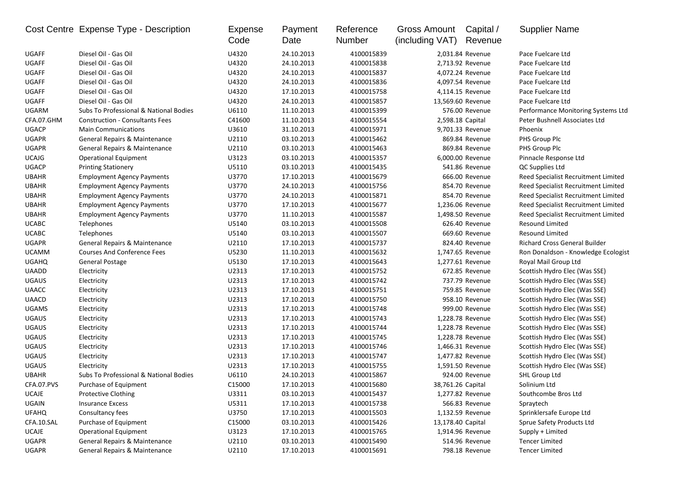|              | Cost Centre Expense Type - Description | Expense<br>Code | Payment<br>Date | Reference<br>Number | Gross Amount<br>(including VAT) | Capital /<br>Revenue | <b>Supplier Name</b>                |
|--------------|----------------------------------------|-----------------|-----------------|---------------------|---------------------------------|----------------------|-------------------------------------|
| <b>UGAFF</b> | Diesel Oil - Gas Oil                   | U4320           | 24.10.2013      | 4100015839          |                                 | 2,031.84 Revenue     | Pace Fuelcare Ltd                   |
| <b>UGAFF</b> | Diesel Oil - Gas Oil                   | U4320           | 24.10.2013      | 4100015838          |                                 | 2,713.92 Revenue     | Pace Fuelcare Ltd                   |
| <b>UGAFF</b> | Diesel Oil - Gas Oil                   | U4320           | 24.10.2013      | 4100015837          |                                 | 4,072.24 Revenue     | Pace Fuelcare Ltd                   |
| <b>UGAFF</b> | Diesel Oil - Gas Oil                   | U4320           | 24.10.2013      | 4100015836          |                                 | 4,097.54 Revenue     | Pace Fuelcare Ltd                   |
| <b>UGAFF</b> | Diesel Oil - Gas Oil                   | U4320           | 17.10.2013      | 4100015758          |                                 | 4,114.15 Revenue     | Pace Fuelcare Ltd                   |
| UGAFF        | Diesel Oil - Gas Oil                   | U4320           | 24.10.2013      | 4100015857          |                                 | 13,569.60 Revenue    | Pace Fuelcare Ltd                   |
| UGARM        | Subs To Professional & National Bodies | U6110           | 11.10.2013      | 4100015399          |                                 | 576.00 Revenue       | Performance Monitoring Systems Ltd  |
| CFA.07.GHM   | <b>Construction - Consultants Fees</b> | C41600          | 11.10.2013      | 4100015554          | 2,598.18 Capital                |                      | Peter Bushnell Associates Ltd       |
| <b>UGACP</b> | <b>Main Communications</b>             | U3610           | 31.10.2013      | 4100015971          |                                 | 9,701.33 Revenue     | Phoenix                             |
| <b>UGAPR</b> | General Repairs & Maintenance          | U2110           | 03.10.2013      | 4100015462          |                                 | 869.84 Revenue       | PHS Group Plc                       |
| <b>UGAPR</b> | General Repairs & Maintenance          | U2110           | 03.10.2013      | 4100015463          |                                 | 869.84 Revenue       | PHS Group Plc                       |
| <b>UCAJG</b> | <b>Operational Equipment</b>           | U3123           | 03.10.2013      | 4100015357          |                                 | 6,000.00 Revenue     | Pinnacle Response Ltd               |
| <b>UGACP</b> | <b>Printing Stationery</b>             | U5110           | 03.10.2013      | 4100015435          |                                 | 541.86 Revenue       | QC Supplies Ltd                     |
| <b>UBAHR</b> | <b>Employment Agency Payments</b>      | U3770           | 17.10.2013      | 4100015679          |                                 | 666.00 Revenue       | Reed Specialist Recruitment Limited |
| <b>UBAHR</b> | <b>Employment Agency Payments</b>      | U3770           | 24.10.2013      | 4100015756          |                                 | 854.70 Revenue       | Reed Specialist Recruitment Limited |
| <b>UBAHR</b> | <b>Employment Agency Payments</b>      | U3770           | 24.10.2013      | 4100015871          |                                 | 854.70 Revenue       | Reed Specialist Recruitment Limited |
| <b>UBAHR</b> | <b>Employment Agency Payments</b>      | U3770           | 17.10.2013      | 4100015677          |                                 | 1,236.06 Revenue     | Reed Specialist Recruitment Limited |
| <b>UBAHR</b> | <b>Employment Agency Payments</b>      | U3770           | 11.10.2013      | 4100015587          |                                 | 1,498.50 Revenue     | Reed Specialist Recruitment Limited |
| <b>UCABC</b> | Telephones                             | U5140           | 03.10.2013      | 4100015508          |                                 | 626.40 Revenue       | Resound Limited                     |
| <b>UCABC</b> | Telephones                             | U5140           | 03.10.2013      | 4100015507          |                                 | 669.60 Revenue       | <b>Resound Limited</b>              |
| <b>UGAPR</b> | General Repairs & Maintenance          | U2110           | 17.10.2013      | 4100015737          |                                 | 824.40 Revenue       | Richard Cross General Builder       |
| <b>UCAMM</b> | <b>Courses And Conference Fees</b>     | U5230           | 11.10.2013      | 4100015632          |                                 | 1,747.65 Revenue     | Ron Donaldson - Knowledge Ecologist |
| <b>UGAHQ</b> | General Postage                        | U5130           | 17.10.2013      | 4100015643          |                                 | 1,277.61 Revenue     | Royal Mail Group Ltd                |
| <b>UAADD</b> | Electricity                            | U2313           | 17.10.2013      | 4100015752          |                                 | 672.85 Revenue       | Scottish Hydro Elec (Was SSE)       |
| <b>UGAUS</b> | Electricity                            | U2313           | 17.10.2013      | 4100015742          |                                 | 737.79 Revenue       | Scottish Hydro Elec (Was SSE)       |
| <b>UAACC</b> | Electricity                            | U2313           | 17.10.2013      | 4100015751          |                                 | 759.85 Revenue       | Scottish Hydro Elec (Was SSE)       |
| <b>UAACD</b> | Electricity                            | U2313           | 17.10.2013      | 4100015750          |                                 | 958.10 Revenue       | Scottish Hydro Elec (Was SSE)       |
| <b>UGAMS</b> | Electricity                            | U2313           | 17.10.2013      | 4100015748          |                                 | 999.00 Revenue       | Scottish Hydro Elec (Was SSE)       |
| <b>UGAUS</b> | Electricity                            | U2313           | 17.10.2013      | 4100015743          |                                 | 1,228.78 Revenue     | Scottish Hydro Elec (Was SSE)       |
| <b>UGAUS</b> | Electricity                            | U2313           | 17.10.2013      | 4100015744          |                                 | 1,228.78 Revenue     | Scottish Hydro Elec (Was SSE)       |
| <b>UGAUS</b> | Electricity                            | U2313           | 17.10.2013      | 4100015745          |                                 | 1,228.78 Revenue     | Scottish Hydro Elec (Was SSE)       |
| <b>UGAUS</b> | Electricity                            | U2313           | 17.10.2013      | 4100015746          |                                 | 1,466.31 Revenue     | Scottish Hydro Elec (Was SSE)       |
| <b>UGAUS</b> | Electricity                            | U2313           | 17.10.2013      | 4100015747          |                                 | 1,477.82 Revenue     | Scottish Hydro Elec (Was SSE)       |
| <b>UGAUS</b> | Electricity                            | U2313           | 17.10.2013      | 4100015755          |                                 | 1,591.50 Revenue     | Scottish Hydro Elec (Was SSE)       |
| <b>UBAHR</b> | Subs To Professional & National Bodies | U6110           | 24.10.2013      | 4100015867          |                                 | 924.00 Revenue       | SHL Group Ltd                       |
| CFA.07.PVS   | Purchase of Equipment                  | C15000          | 17.10.2013      | 4100015680          | 38,761.26 Capital               |                      | Solinium Ltd                        |
| UCAJE        | Protective Clothing                    | U3311           | 03.10.2013      | 4100015437          |                                 | 1,277.82 Revenue     | Southcombe Bros Ltd                 |
| UGAIN        | <b>Insurance Excess</b>                | U5311           | 17.10.2013      | 4100015738          |                                 | 566.83 Revenue       | Spraytech                           |
| <b>UFAHQ</b> | Consultancy fees                       | U3750           | 17.10.2013      | 4100015503          |                                 | 1,132.59 Revenue     | Sprinklersafe Europe Ltd            |
| CFA.10.SAL   | Purchase of Equipment                  | C15000          | 03.10.2013      | 4100015426          | 13,178.40 Capital               |                      | Sprue Safety Products Ltd           |
| UCAJE        | <b>Operational Equipment</b>           | U3123           | 17.10.2013      | 4100015765          |                                 | 1,914.96 Revenue     | Supply + Limited                    |
| UGAPR        | General Repairs & Maintenance          | U2110           | 03.10.2013      | 4100015490          |                                 | 514.96 Revenue       | <b>Tencer Limited</b>               |
| UGAPR        | General Repairs & Maintenance          | U2110           | 17.10.2013      | 4100015691          |                                 | 798.18 Revenue       | <b>Tencer Limited</b>               |